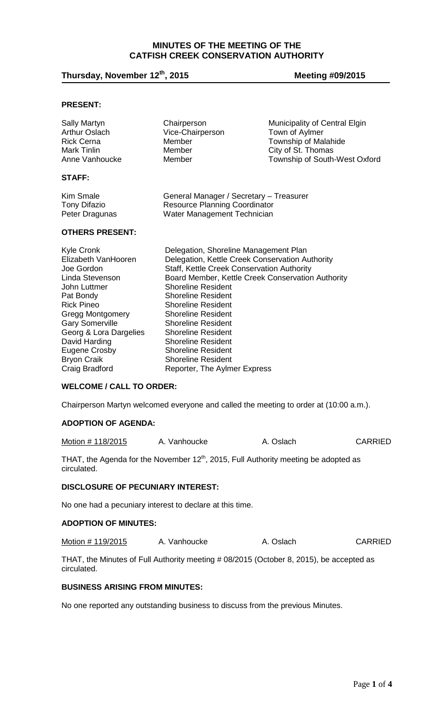## **MINUTES OF THE MEETING OF THE CATFISH CREEK CONSERVATION AUTHORITY**

# **Thursday, November 12th, 2015 Meeting #09/2015**

## **PRESENT:**

| Sally Martyn<br>Arthur Oslach<br><b>Rick Cerna</b><br>Mark Tinlin<br>Anne Vanhoucke                                                                                                                                                   | Chairperson<br>Vice-Chairperson<br>Member<br>Member<br>Member                                                                                                                                                                                                                                                                                                                                                                       | Municipality of Central Elgin<br>Town of Aylmer<br>Township of Malahide<br>City of St. Thomas<br>Township of South-West Oxford |
|---------------------------------------------------------------------------------------------------------------------------------------------------------------------------------------------------------------------------------------|-------------------------------------------------------------------------------------------------------------------------------------------------------------------------------------------------------------------------------------------------------------------------------------------------------------------------------------------------------------------------------------------------------------------------------------|--------------------------------------------------------------------------------------------------------------------------------|
| <b>STAFF:</b>                                                                                                                                                                                                                         |                                                                                                                                                                                                                                                                                                                                                                                                                                     |                                                                                                                                |
| Kim Smale<br>Tony Difazio<br>Peter Dragunas                                                                                                                                                                                           | General Manager / Secretary - Treasurer<br><b>Resource Planning Coordinator</b><br>Water Management Technician                                                                                                                                                                                                                                                                                                                      |                                                                                                                                |
| <b>OTHERS PRESENT:</b>                                                                                                                                                                                                                |                                                                                                                                                                                                                                                                                                                                                                                                                                     |                                                                                                                                |
| Kyle Cronk<br>Elizabeth VanHooren<br>Joe Gordon<br>Linda Stevenson<br>John Luttmer<br>Pat Bondy<br><b>Rick Pineo</b><br>Gregg Montgomery<br><b>Gary Somerville</b><br>Georg & Lora Dargelies<br>David Harding<br><b>Eugene Crosby</b> | Delegation, Shoreline Management Plan<br>Delegation, Kettle Creek Conservation Authority<br>Staff, Kettle Creek Conservation Authority<br>Board Member, Kettle Creek Conservation Authority<br><b>Shoreline Resident</b><br><b>Shoreline Resident</b><br><b>Shoreline Resident</b><br><b>Shoreline Resident</b><br><b>Shoreline Resident</b><br><b>Shoreline Resident</b><br><b>Shoreline Resident</b><br><b>Shoreline Resident</b> |                                                                                                                                |

### **WELCOME / CALL TO ORDER:**

Chairperson Martyn welcomed everyone and called the meeting to order at (10:00 a.m.).

#### **ADOPTION OF AGENDA:**

| Motion # 118/2015 | A. Vanhoucke | A. Oslach | <b>CARRIED</b> |
|-------------------|--------------|-----------|----------------|
|-------------------|--------------|-----------|----------------|

THAT, the Agenda for the November  $12<sup>th</sup>$ , 2015, Full Authority meeting be adopted as circulated.

## **DISCLOSURE OF PECUNIARY INTEREST:**

Bryon Craik **Shoreline Resident** 

Craig Bradford Reporter, The Aylmer Express

No one had a pecuniary interest to declare at this time.

#### **ADOPTION OF MINUTES:**

| Motion # 119/2015 | A. Vanhoucke | A. Oslach | <b>CARRIED</b> |
|-------------------|--------------|-----------|----------------|
|-------------------|--------------|-----------|----------------|

THAT, the Minutes of Full Authority meeting # 08/2015 (October 8, 2015), be accepted as circulated.

## **BUSINESS ARISING FROM MINUTES:**

No one reported any outstanding business to discuss from the previous Minutes.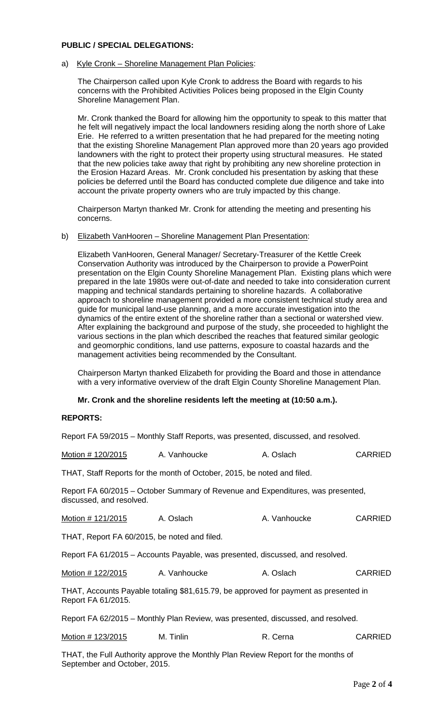## **PUBLIC / SPECIAL DELEGATIONS:**

a) Kyle Cronk – Shoreline Management Plan Policies:

The Chairperson called upon Kyle Cronk to address the Board with regards to his concerns with the Prohibited Activities Polices being proposed in the Elgin County Shoreline Management Plan.

Mr. Cronk thanked the Board for allowing him the opportunity to speak to this matter that he felt will negatively impact the local landowners residing along the north shore of Lake Erie. He referred to a written presentation that he had prepared for the meeting noting that the existing Shoreline Management Plan approved more than 20 years ago provided landowners with the right to protect their property using structural measures. He stated that the new policies take away that right by prohibiting any new shoreline protection in the Erosion Hazard Areas. Mr. Cronk concluded his presentation by asking that these policies be deferred until the Board has conducted complete due diligence and take into account the private property owners who are truly impacted by this change.

Chairperson Martyn thanked Mr. Cronk for attending the meeting and presenting his concerns.

#### b) Elizabeth VanHooren – Shoreline Management Plan Presentation:

Elizabeth VanHooren, General Manager/ Secretary-Treasurer of the Kettle Creek Conservation Authority was introduced by the Chairperson to provide a PowerPoint presentation on the Elgin County Shoreline Management Plan. Existing plans which were prepared in the late 1980s were out-of-date and needed to take into consideration current mapping and technical standards pertaining to shoreline hazards. A collaborative approach to shoreline management provided a more consistent technical study area and guide for municipal land-use planning, and a more accurate investigation into the dynamics of the entire extent of the shoreline rather than a sectional or watershed view. After explaining the background and purpose of the study, she proceeded to highlight the various sections in the plan which described the reaches that featured similar geologic and geomorphic conditions, land use patterns, exposure to coastal hazards and the management activities being recommended by the Consultant.

Chairperson Martyn thanked Elizabeth for providing the Board and those in attendance with a very informative overview of the draft Elgin County Shoreline Management Plan.

### **Mr. Cronk and the shoreline residents left the meeting at (10:50 a.m.).**

#### **REPORTS:**

Report FA 59/2015 – Monthly Staff Reports, was presented, discussed, and resolved.

| Motion # 120/2015                                                                                           | A. Vanhoucke                                                                     | A. Oslach    | <b>CARRIED</b> |
|-------------------------------------------------------------------------------------------------------------|----------------------------------------------------------------------------------|--------------|----------------|
|                                                                                                             | THAT, Staff Reports for the month of October, 2015, be noted and filed.          |              |                |
| Report FA 60/2015 – October Summary of Revenue and Expenditures, was presented,<br>discussed, and resolved. |                                                                                  |              |                |
| <u>Motion # 121/2015</u>                                                                                    | A. Oslach                                                                        | A. Vanhoucke | <b>CARRIED</b> |
| THAT, Report FA 60/2015, be noted and filed.                                                                |                                                                                  |              |                |
| Report FA 61/2015 – Accounts Payable, was presented, discussed, and resolved.                               |                                                                                  |              |                |
| Motion # 122/2015                                                                                           | A. Vanhoucke                                                                     | A. Oslach    | <b>CARRIED</b> |
| THAT, Accounts Payable totaling \$81,615.79, be approved for payment as presented in<br>Report FA 61/2015.  |                                                                                  |              |                |
| Report FA 62/2015 – Monthly Plan Review, was presented, discussed, and resolved.                            |                                                                                  |              |                |
| Motion # 123/2015                                                                                           | M. Tinlin                                                                        | R. Cerna     | <b>CARRIED</b> |
|                                                                                                             | TUAT the Full Authority opprove the Monthly Dlan Doviow Depart for the months of |              |                |

THAT, the Full Authority approve the Monthly Plan Review Report for the months of September and October, 2015.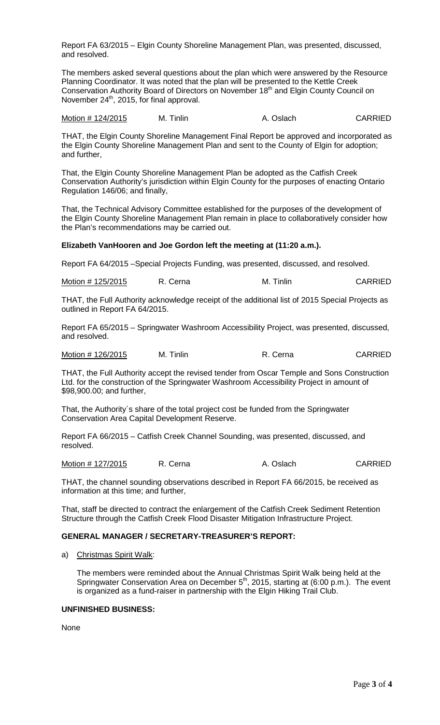Report FA 63/2015 – Elgin County Shoreline Management Plan, was presented, discussed, and resolved.

The members asked several questions about the plan which were answered by the Resource Planning Coordinator. It was noted that the plan will be presented to the Kettle Creek Conservation Authority Board of Directors on November 18<sup>th</sup> and Elgin County Council on November 24<sup>th</sup>, 2015, for final approval.

Motion # 124/2015 M. Tinlin A. Oslach CARRIED

THAT, the Elgin County Shoreline Management Final Report be approved and incorporated as the Elgin County Shoreline Management Plan and sent to the County of Elgin for adoption; and further,

That, the Elgin County Shoreline Management Plan be adopted as the Catfish Creek Conservation Authority's jurisdiction within Elgin County for the purposes of enacting Ontario Regulation 146/06; and finally,

That, the Technical Advisory Committee established for the purposes of the development of the Elgin County Shoreline Management Plan remain in place to collaboratively consider how the Plan's recommendations may be carried out.

### **Elizabeth VanHooren and Joe Gordon left the meeting at (11:20 a.m.).**

Report FA 64/2015 –Special Projects Funding, was presented, discussed, and resolved.

Motion # 125/2015 R. Cerna M. Tinlin CARRIED

THAT, the Full Authority acknowledge receipt of the additional list of 2015 Special Projects as outlined in Report FA 64/2015.

Report FA 65/2015 – Springwater Washroom Accessibility Project, was presented, discussed, and resolved.

Motion # 126/2015 M. Tinlin R. Cerna CARRIED

THAT, the Full Authority accept the revised tender from Oscar Temple and Sons Construction Ltd. for the construction of the Springwater Washroom Accessibility Project in amount of \$98,900.00; and further,

That, the Authority`s share of the total project cost be funded from the Springwater Conservation Area Capital Development Reserve.

Report FA 66/2015 – Catfish Creek Channel Sounding, was presented, discussed, and resolved.

Motion # 127/2015 R. Cerna A. Oslach CARRIED

THAT, the channel sounding observations described in Report FA 66/2015, be received as information at this time; and further,

That, staff be directed to contract the enlargement of the Catfish Creek Sediment Retention Structure through the Catfish Creek Flood Disaster Mitigation Infrastructure Project.

## **GENERAL MANAGER / SECRETARY-TREASURER'S REPORT:**

a) Christmas Spirit Walk:

The members were reminded about the Annual Christmas Spirit Walk being held at the Springwater Conservation Area on December  $5<sup>th</sup>$ , 2015, starting at (6:00 p.m.). The event is organized as a fund-raiser in partnership with the Elgin Hiking Trail Club.

## **UNFINISHED BUSINESS:**

None